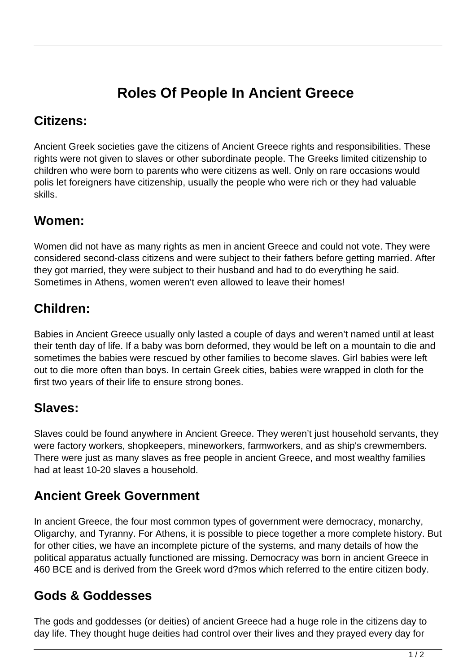# **Roles Of People In Ancient Greece**

#### **Citizens:**

Ancient Greek societies gave the citizens of Ancient Greece rights and responsibilities. These rights were not given to slaves or other subordinate people. The Greeks limited citizenship to children who were born to parents who were citizens as well. Only on rare occasions would polis let foreigners have citizenship, usually the people who were rich or they had valuable skills.

## **Women:**

Women did not have as many rights as men in ancient Greece and could not vote. They were considered second-class citizens and were subject to their fathers before getting married. After they got married, they were subject to their husband and had to do everything he said. Sometimes in Athens, women weren't even allowed to leave their homes!

## **Children:**

Babies in Ancient Greece usually only lasted a couple of days and weren't named until at least their tenth day of life. If a baby was born deformed, they would be left on a mountain to die and sometimes the babies were rescued by other families to become slaves. Girl babies were left out to die more often than boys. In certain Greek cities, babies were wrapped in cloth for the first two years of their life to ensure strong bones.

#### **Slaves:**

Slaves could be found anywhere in Ancient Greece. They weren't just household servants, they were factory workers, shopkeepers, mineworkers, farmworkers, and as ship's crewmembers. There were just as many slaves as free people in ancient Greece, and most wealthy families had at least 10-20 slaves a household.

## **Ancient Greek Government**

In ancient Greece, the four most common types of government were democracy, monarchy, Oligarchy, and Tyranny. For Athens, it is possible to piece together a more complete history. But for other cities, we have an incomplete picture of the systems, and many details of how the political apparatus actually functioned are missing. Democracy was born in ancient Greece in 460 BCE and is derived from the Greek word d?mos which referred to the entire citizen body.

#### **Gods & Goddesses**

The gods and goddesses (or deities) of ancient Greece had a huge role in the citizens day to day life. They thought huge deities had control over their lives and they prayed every day for